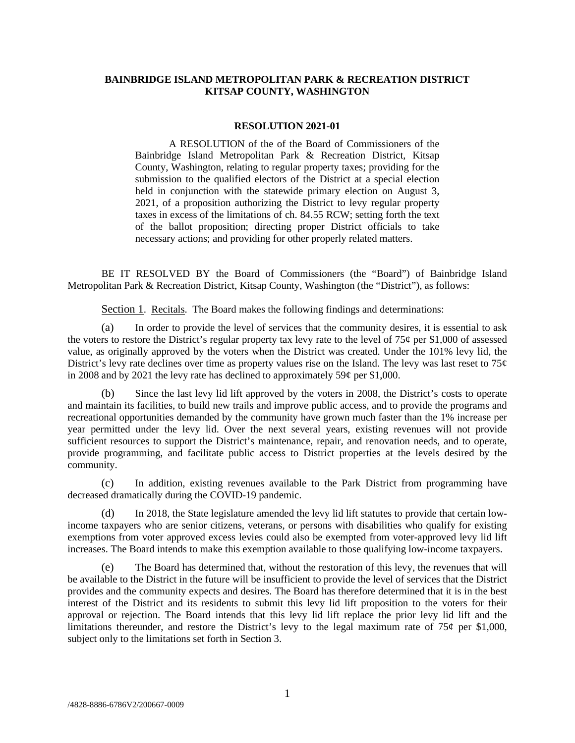# **BAINBRIDGE ISLAND METROPOLITAN PARK & RECREATION DISTRICT KITSAP COUNTY, WASHINGTON**

### **RESOLUTION 2021-01**

A RESOLUTION of the of the Board of Commissioners of the Bainbridge Island Metropolitan Park & Recreation District, Kitsap County, Washington, relating to regular property taxes; providing for the submission to the qualified electors of the District at a special election held in conjunction with the statewide primary election on August 3, 2021, of a proposition authorizing the District to levy regular property taxes in excess of the limitations of ch. 84.55 RCW; setting forth the text of the ballot proposition; directing proper District officials to take necessary actions; and providing for other properly related matters.

BE IT RESOLVED BY the Board of Commissioners (the "Board") of Bainbridge Island Metropolitan Park & Recreation District, Kitsap County, Washington (the "District"), as follows:

Section 1. Recitals. The Board makes the following findings and determinations:

(a) In order to provide the level of services that the community desires, it is essential to ask the voters to restore the District's regular property tax levy rate to the level of  $75¢$  per \$1,000 of assessed value, as originally approved by the voters when the District was created. Under the 101% levy lid, the District's levy rate declines over time as property values rise on the Island. The levy was last reset to  $75¢$ in 2008 and by 2021 the levy rate has declined to approximately 59 $\varphi$  per \$1,000.

(b) Since the last levy lid lift approved by the voters in 2008, the District's costs to operate and maintain its facilities, to build new trails and improve public access, and to provide the programs and recreational opportunities demanded by the community have grown much faster than the 1% increase per year permitted under the levy lid. Over the next several years, existing revenues will not provide sufficient resources to support the District's maintenance, repair, and renovation needs, and to operate, provide programming, and facilitate public access to District properties at the levels desired by the community.

(c) In addition, existing revenues available to the Park District from programming have decreased dramatically during the COVID-19 pandemic.

(d) In 2018, the State legislature amended the levy lid lift statutes to provide that certain lowincome taxpayers who are senior citizens, veterans, or persons with disabilities who qualify for existing exemptions from voter approved excess levies could also be exempted from voter-approved levy lid lift increases. The Board intends to make this exemption available to those qualifying low-income taxpayers.

(e) The Board has determined that, without the restoration of this levy, the revenues that will be available to the District in the future will be insufficient to provide the level of services that the District provides and the community expects and desires. The Board has therefore determined that it is in the best interest of the District and its residents to submit this levy lid lift proposition to the voters for their approval or rejection. The Board intends that this levy lid lift replace the prior levy lid lift and the limitations thereunder, and restore the District's levy to the legal maximum rate of  $75¢$  per \$1,000, subject only to the limitations set forth in Section 3.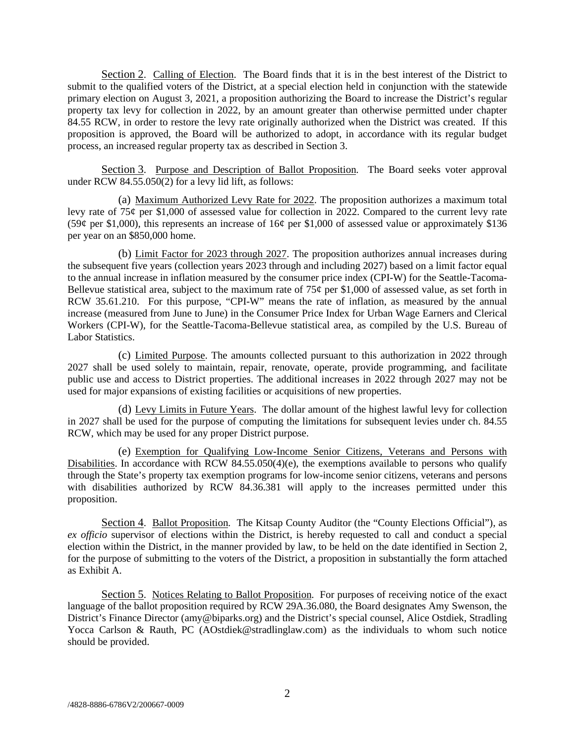Section 2. Calling of Election. The Board finds that it is in the best interest of the District to submit to the qualified voters of the District, at a special election held in conjunction with the statewide primary election on August 3, 2021, a proposition authorizing the Board to increase the District's regular property tax levy for collection in 2022, by an amount greater than otherwise permitted under chapter 84.55 RCW, in order to restore the levy rate originally authorized when the District was created. If this proposition is approved, the Board will be authorized to adopt, in accordance with its regular budget process, an increased regular property tax as described in Section 3.

Section 3. Purpose and Description of Ballot Proposition. The Board seeks voter approval under RCW 84.55.050(2) for a levy lid lift, as follows:

(a) Maximum Authorized Levy Rate for 2022. The proposition authorizes a maximum total levy rate of 75¢ per \$1,000 of assessed value for collection in 2022. Compared to the current levy rate (59¢ per \$1,000), this represents an increase of 16¢ per \$1,000 of assessed value or approximately \$136 per year on an \$850,000 home.

(b) Limit Factor for 2023 through 2027. The proposition authorizes annual increases during the subsequent five years (collection years 2023 through and including 2027) based on a limit factor equal to the annual increase in inflation measured by the consumer price index (CPI-W) for the Seattle-Tacoma-Bellevue statistical area, subject to the maximum rate of  $75¢$  per \$1,000 of assessed value, as set forth in RCW 35.61.210. For this purpose, "CPI-W" means the rate of inflation, as measured by the annual increase (measured from June to June) in the Consumer Price Index for Urban Wage Earners and Clerical Workers (CPI-W), for the Seattle-Tacoma-Bellevue statistical area, as compiled by the U.S. Bureau of Labor Statistics.

(c) Limited Purpose. The amounts collected pursuant to this authorization in 2022 through 2027 shall be used solely to maintain, repair, renovate, operate, provide programming, and facilitate public use and access to District properties. The additional increases in 2022 through 2027 may not be used for major expansions of existing facilities or acquisitions of new properties.

(d) Levy Limits in Future Years. The dollar amount of the highest lawful levy for collection in 2027 shall be used for the purpose of computing the limitations for subsequent levies under ch. 84.55 RCW, which may be used for any proper District purpose.

(e) Exemption for Qualifying Low-Income Senior Citizens, Veterans and Persons with Disabilities. In accordance with RCW  $84.55.050(4)(e)$ , the exemptions available to persons who qualify through the State's property tax exemption programs for low-income senior citizens, veterans and persons with disabilities authorized by RCW 84.36.381 will apply to the increases permitted under this proposition.

Section 4. Ballot Proposition. The Kitsap County Auditor (the "County Elections Official"), as *ex officio* supervisor of elections within the District, is hereby requested to call and conduct a special election within the District, in the manner provided by law, to be held on the date identified in Section 2, for the purpose of submitting to the voters of the District, a proposition in substantially the form attached as Exhibit A.

Section 5. Notices Relating to Ballot Proposition. For purposes of receiving notice of the exact language of the ballot proposition required by RCW 29A.36.080, the Board designates Amy Swenson, the District's Finance Director (amy@biparks.org) and the District's special counsel, Alice Ostdiek, Stradling Yocca Carlson & Rauth, PC (AOstdiek@stradlinglaw.com) as the individuals to whom such notice should be provided.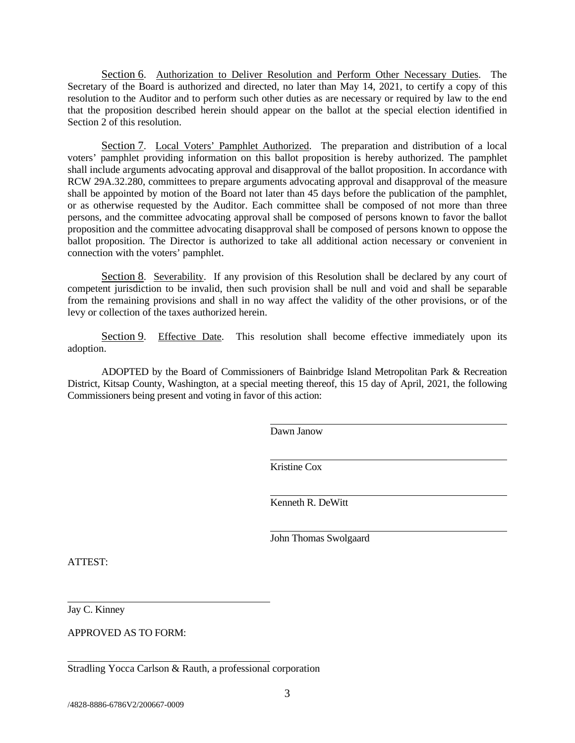Section 6. Authorization to Deliver Resolution and Perform Other Necessary Duties. The Secretary of the Board is authorized and directed, no later than May 14, 2021, to certify a copy of this resolution to the Auditor and to perform such other duties as are necessary or required by law to the end that the proposition described herein should appear on the ballot at the special election identified in Section 2 of this resolution.

Section 7. Local Voters' Pamphlet Authorized. The preparation and distribution of a local voters' pamphlet providing information on this ballot proposition is hereby authorized. The pamphlet shall include arguments advocating approval and disapproval of the ballot proposition. In accordance with RCW 29A.32.280, committees to prepare arguments advocating approval and disapproval of the measure shall be appointed by motion of the Board not later than 45 days before the publication of the pamphlet, or as otherwise requested by the Auditor. Each committee shall be composed of not more than three persons, and the committee advocating approval shall be composed of persons known to favor the ballot proposition and the committee advocating disapproval shall be composed of persons known to oppose the ballot proposition. The Director is authorized to take all additional action necessary or convenient in connection with the voters' pamphlet.

Section 8. Severability. If any provision of this Resolution shall be declared by any court of competent jurisdiction to be invalid, then such provision shall be null and void and shall be separable from the remaining provisions and shall in no way affect the validity of the other provisions, or of the levy or collection of the taxes authorized herein.

Section 9. Effective Date. This resolution shall become effective immediately upon its adoption.

ADOPTED by the Board of Commissioners of Bainbridge Island Metropolitan Park & Recreation District, Kitsap County, Washington, at a special meeting thereof, this 15 day of April, 2021, the following Commissioners being present and voting in favor of this action:

 $\overline{a}$ 

 $\overline{a}$ 

Dawn Janow

 $\overline{a}$ Kristine Cox

Kenneth R. DeWitt

John Thomas Swolgaard

ATTEST:

Jay C. Kinney

APPROVED AS TO FORM:

Stradling Yocca Carlson & Rauth, a professional corporation